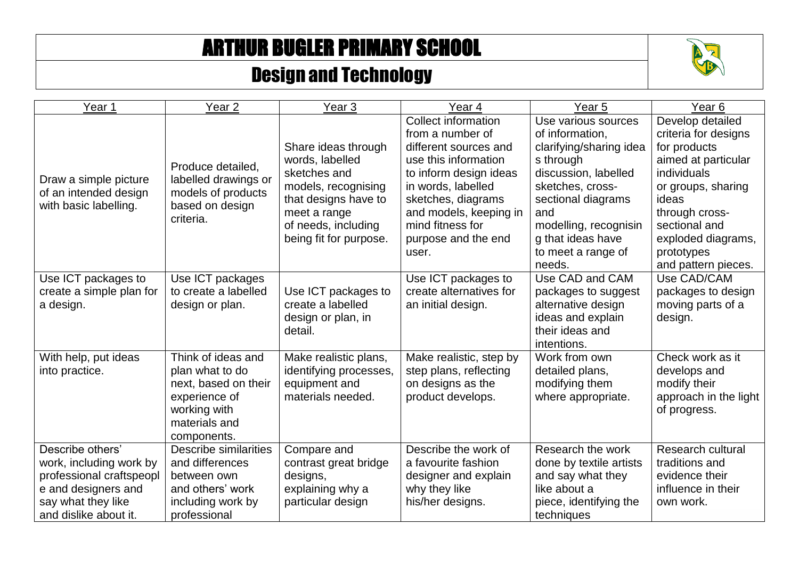## ARTHUR BUGLER PRIMARY SCHOOL

## Design and Technology



| Year 1                                                                                                                                        | Year <sub>2</sub>                                                                                                              | Year <sub>3</sub>                                                                                                                                                      | Year 4                                                                                                                                                                                                                                              | Year 5                                                                                                                                                                                                                                | Year <sub>6</sub>                                                                                                                                                                                                           |
|-----------------------------------------------------------------------------------------------------------------------------------------------|--------------------------------------------------------------------------------------------------------------------------------|------------------------------------------------------------------------------------------------------------------------------------------------------------------------|-----------------------------------------------------------------------------------------------------------------------------------------------------------------------------------------------------------------------------------------------------|---------------------------------------------------------------------------------------------------------------------------------------------------------------------------------------------------------------------------------------|-----------------------------------------------------------------------------------------------------------------------------------------------------------------------------------------------------------------------------|
| Draw a simple picture<br>of an intended design<br>with basic labelling.                                                                       | Produce detailed,<br>labelled drawings or<br>models of products<br>based on design<br>criteria.                                | Share ideas through<br>words, labelled<br>sketches and<br>models, recognising<br>that designs have to<br>meet a range<br>of needs, including<br>being fit for purpose. | <b>Collect information</b><br>from a number of<br>different sources and<br>use this information<br>to inform design ideas<br>in words, labelled<br>sketches, diagrams<br>and models, keeping in<br>mind fitness for<br>purpose and the end<br>user. | Use various sources<br>of information,<br>clarifying/sharing idea<br>s through<br>discussion, labelled<br>sketches, cross-<br>sectional diagrams<br>and<br>modelling, recognisin<br>g that ideas have<br>to meet a range of<br>needs. | Develop detailed<br>criteria for designs<br>for products<br>aimed at particular<br>individuals<br>or groups, sharing<br>ideas<br>through cross-<br>sectional and<br>exploded diagrams,<br>prototypes<br>and pattern pieces. |
| Use ICT packages to<br>create a simple plan for<br>a design.                                                                                  | Use ICT packages<br>to create a labelled<br>design or plan.                                                                    | Use ICT packages to<br>create a labelled<br>design or plan, in<br>detail.                                                                                              | Use ICT packages to<br>create alternatives for<br>an initial design.                                                                                                                                                                                | Use CAD and CAM<br>packages to suggest<br>alternative design<br>ideas and explain<br>their ideas and<br>intentions.                                                                                                                   | Use CAD/CAM<br>packages to design<br>moving parts of a<br>design.                                                                                                                                                           |
| With help, put ideas<br>into practice.                                                                                                        | Think of ideas and<br>plan what to do<br>next, based on their<br>experience of<br>working with<br>materials and<br>components. | Make realistic plans,<br>identifying processes,<br>equipment and<br>materials needed.                                                                                  | Make realistic, step by<br>step plans, reflecting<br>on designs as the<br>product develops.                                                                                                                                                         | Work from own<br>detailed plans,<br>modifying them<br>where appropriate.                                                                                                                                                              | Check work as it<br>develops and<br>modify their<br>approach in the light<br>of progress.                                                                                                                                   |
| Describe others'<br>work, including work by<br>professional craftspeopl<br>e and designers and<br>say what they like<br>and dislike about it. | <b>Describe similarities</b><br>and differences<br>between own<br>and others' work<br>including work by<br>professional        | Compare and<br>contrast great bridge<br>designs,<br>explaining why a<br>particular design                                                                              | Describe the work of<br>a favourite fashion<br>designer and explain<br>why they like<br>his/her designs.                                                                                                                                            | Research the work<br>done by textile artists<br>and say what they<br>like about a<br>piece, identifying the<br>techniques                                                                                                             | <b>Research cultural</b><br>traditions and<br>evidence their<br>influence in their<br>own work.                                                                                                                             |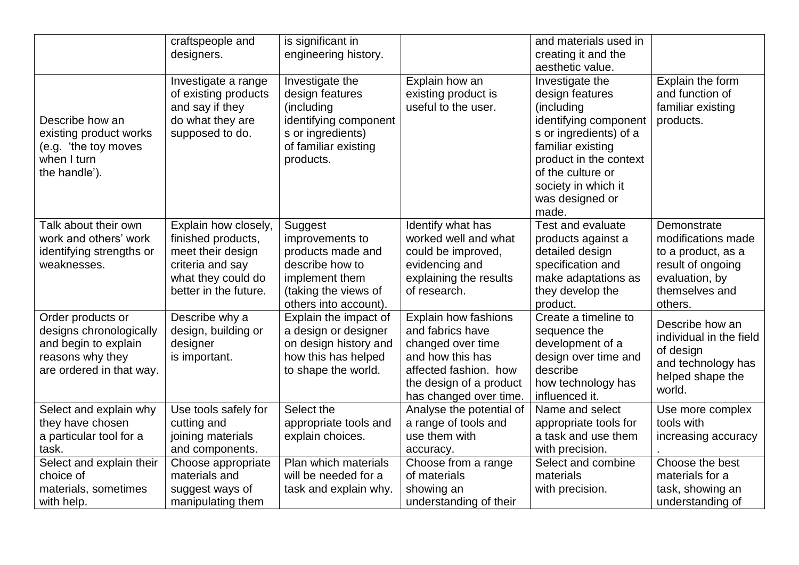|                                                                                                                      | craftspeople and<br>designers.                                                                                                     | is significant in<br>engineering history.                                                                                             |                                                                                                                                                                        | and materials used in<br>creating it and the<br>aesthetic value.                                                                                                                                                           |                                                                                                                             |
|----------------------------------------------------------------------------------------------------------------------|------------------------------------------------------------------------------------------------------------------------------------|---------------------------------------------------------------------------------------------------------------------------------------|------------------------------------------------------------------------------------------------------------------------------------------------------------------------|----------------------------------------------------------------------------------------------------------------------------------------------------------------------------------------------------------------------------|-----------------------------------------------------------------------------------------------------------------------------|
| Describe how an<br>existing product works<br>(e.g. 'the toy moves<br>when I turn<br>the handle').                    | Investigate a range<br>of existing products<br>and say if they<br>do what they are<br>supposed to do.                              | Investigate the<br>design features<br>(including<br>identifying component<br>s or ingredients)<br>of familiar existing<br>products.   | Explain how an<br>existing product is<br>useful to the user.                                                                                                           | Investigate the<br>design features<br>(including<br>identifying component<br>s or ingredients) of a<br>familiar existing<br>product in the context<br>of the culture or<br>society in which it<br>was designed or<br>made. | Explain the form<br>and function of<br>familiar existing<br>products.                                                       |
| Talk about their own<br>work and others' work<br>identifying strengths or<br>weaknesses.                             | Explain how closely,<br>finished products,<br>meet their design<br>criteria and say<br>what they could do<br>better in the future. | Suggest<br>improvements to<br>products made and<br>describe how to<br>implement them<br>(taking the views of<br>others into account). | Identify what has<br>worked well and what<br>could be improved,<br>evidencing and<br>explaining the results<br>of research.                                            | <b>Test and evaluate</b><br>products against a<br>detailed design<br>specification and<br>make adaptations as<br>they develop the<br>product.                                                                              | Demonstrate<br>modifications made<br>to a product, as a<br>result of ongoing<br>evaluation, by<br>themselves and<br>others. |
| Order products or<br>designs chronologically<br>and begin to explain<br>reasons why they<br>are ordered in that way. | Describe why a<br>design, building or<br>designer<br>is important.                                                                 | Explain the impact of<br>a design or designer<br>on design history and<br>how this has helped<br>to shape the world.                  | <b>Explain how fashions</b><br>and fabrics have<br>changed over time<br>and how this has<br>affected fashion. how<br>the design of a product<br>has changed over time. | Create a timeline to<br>sequence the<br>development of a<br>design over time and<br>describe<br>how technology has<br>influenced it.                                                                                       | Describe how an<br>individual in the field<br>of design<br>and technology has<br>helped shape the<br>world.                 |
| Select and explain why<br>they have chosen<br>a particular tool for a<br>task.                                       | Use tools safely for<br>cutting and<br>joining materials<br>and components.                                                        | Select the<br>appropriate tools and<br>explain choices.                                                                               | Analyse the potential of<br>a range of tools and<br>use them with<br>accuracy.                                                                                         | Name and select<br>appropriate tools for<br>a task and use them<br>with precision.                                                                                                                                         | Use more complex<br>tools with<br>increasing accuracy                                                                       |
| Select and explain their<br>choice of<br>materials, sometimes<br>with help.                                          | Choose appropriate<br>materials and<br>suggest ways of<br>manipulating them                                                        | Plan which materials<br>will be needed for a<br>task and explain why.                                                                 | Choose from a range<br>of materials<br>showing an<br>understanding of their                                                                                            | Select and combine<br>materials<br>with precision.                                                                                                                                                                         | Choose the best<br>materials for a<br>task, showing an<br>understanding of                                                  |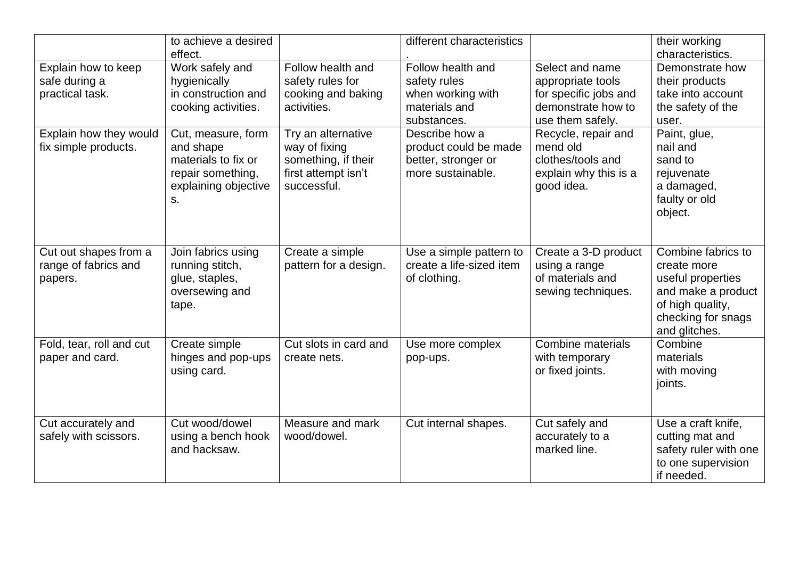|                                                          | to achieve a desired<br>effect.                                                                           |                                                                                                  | different characteristics                                                              |                                                                                                         | their working<br>characteristics.                                                                                                       |
|----------------------------------------------------------|-----------------------------------------------------------------------------------------------------------|--------------------------------------------------------------------------------------------------|----------------------------------------------------------------------------------------|---------------------------------------------------------------------------------------------------------|-----------------------------------------------------------------------------------------------------------------------------------------|
| Explain how to keep<br>safe during a<br>practical task.  | Work safely and<br>hygienically<br>in construction and<br>cooking activities.                             | Follow health and<br>safety rules for<br>cooking and baking<br>activities.                       | Follow health and<br>safety rules<br>when working with<br>materials and<br>substances. | Select and name<br>appropriate tools<br>for specific jobs and<br>demonstrate how to<br>use them safely. | Demonstrate how<br>their products<br>take into account<br>the safety of the<br>user.                                                    |
| Explain how they would<br>fix simple products.           | Cut, measure, form<br>and shape<br>materials to fix or<br>repair something,<br>explaining objective<br>S. | Try an alternative<br>way of fixing<br>something, if their<br>first attempt isn't<br>successful. | Describe how a<br>product could be made<br>better, stronger or<br>more sustainable.    | Recycle, repair and<br>mend old<br>clothes/tools and<br>explain why this is a<br>good idea.             | Paint, glue,<br>nail and<br>sand to<br>rejuvenate<br>a damaged,<br>faulty or old<br>object.                                             |
| Cut out shapes from a<br>range of fabrics and<br>papers. | Join fabrics using<br>running stitch,<br>glue, staples,<br>oversewing and<br>tape.                        | Create a simple<br>pattern for a design.                                                         | Use a simple pattern to<br>create a life-sized item<br>of clothing.                    | Create a 3-D product<br>using a range<br>of materials and<br>sewing techniques.                         | Combine fabrics to<br>create more<br>useful properties<br>and make a product<br>of high quality,<br>checking for snags<br>and glitches. |
| Fold, tear, roll and cut<br>paper and card.              | Create simple<br>hinges and pop-ups<br>using card.                                                        | Cut slots in card and<br>create nets.                                                            | Use more complex<br>pop-ups.                                                           | Combine materials<br>with temporary<br>or fixed joints.                                                 | Combine<br>materials<br>with moving<br>joints.                                                                                          |
| Cut accurately and<br>safely with scissors.              | Cut wood/dowel<br>using a bench hook<br>and hacksaw.                                                      | Measure and mark<br>wood/dowel.                                                                  | Cut internal shapes.                                                                   | Cut safely and<br>accurately to a<br>marked line.                                                       | Use a craft knife,<br>cutting mat and<br>safety ruler with one<br>to one supervision<br>if needed.                                      |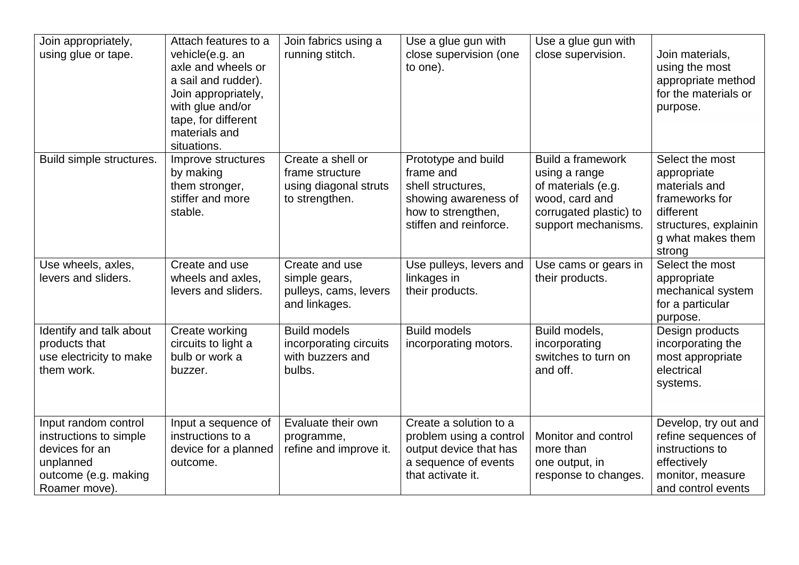| Join appropriately,<br>using glue or tape.                                                                             | Attach features to a<br>vehicle(e.g. an<br>axle and wheels or<br>a sail and rudder).<br>Join appropriately,<br>with glue and/or<br>tape, for different<br>materials and<br>situations. | Join fabrics using a<br>running stitch.                                         | Use a glue gun with<br>close supervision (one<br>to one).                                                                     | Use a glue gun with<br>close supervision.                                                                                   | Join materials,<br>using the most<br>appropriate method<br>for the materials or<br>purpose.                                            |
|------------------------------------------------------------------------------------------------------------------------|----------------------------------------------------------------------------------------------------------------------------------------------------------------------------------------|---------------------------------------------------------------------------------|-------------------------------------------------------------------------------------------------------------------------------|-----------------------------------------------------------------------------------------------------------------------------|----------------------------------------------------------------------------------------------------------------------------------------|
| Build simple structures.                                                                                               | Improve structures<br>by making<br>them stronger,<br>stiffer and more<br>stable.                                                                                                       | Create a shell or<br>frame structure<br>using diagonal struts<br>to strengthen. | Prototype and build<br>frame and<br>shell structures,<br>showing awareness of<br>how to strengthen,<br>stiffen and reinforce. | Build a framework<br>using a range<br>of materials (e.g.<br>wood, card and<br>corrugated plastic) to<br>support mechanisms. | Select the most<br>appropriate<br>materials and<br>frameworks for<br>different<br>structures, explainin<br>g what makes them<br>strong |
| Use wheels, axles,<br>levers and sliders.                                                                              | Create and use<br>wheels and axles,<br>levers and sliders.                                                                                                                             | Create and use<br>simple gears,<br>pulleys, cams, levers<br>and linkages.       | Use pulleys, levers and<br>linkages in<br>their products.                                                                     | Use cams or gears in<br>their products.                                                                                     | Select the most<br>appropriate<br>mechanical system<br>for a particular<br>purpose.                                                    |
| Identify and talk about<br>products that<br>use electricity to make<br>them work.                                      | Create working<br>circuits to light a<br>bulb or work a<br>buzzer.                                                                                                                     | <b>Build models</b><br>incorporating circuits<br>with buzzers and<br>bulbs.     | <b>Build models</b><br>incorporating motors.                                                                                  | Build models,<br>incorporating<br>switches to turn on<br>and off.                                                           | Design products<br>incorporating the<br>most appropriate<br>electrical<br>systems.                                                     |
| Input random control<br>instructions to simple<br>devices for an<br>unplanned<br>outcome (e.g. making<br>Roamer move). | Input a sequence of<br>instructions to a<br>device for a planned<br>outcome.                                                                                                           | Evaluate their own<br>programme,<br>refine and improve it.                      | Create a solution to a<br>problem using a control<br>output device that has<br>a sequence of events<br>that activate it.      | Monitor and control<br>more than<br>one output, in<br>response to changes.                                                  | Develop, try out and<br>refine sequences of<br>instructions to<br>effectively<br>monitor, measure<br>and control events                |